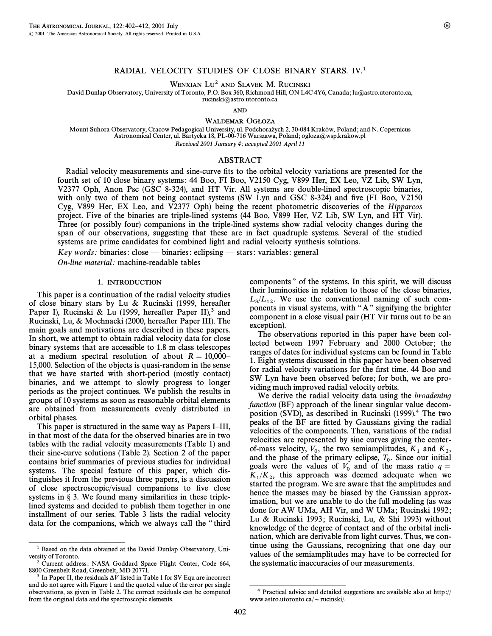# RADIAL VELOCITY STUDIES OF CLOSE BINARY STARS. IV.<sup>1</sup>

WENXIAN LU<sup>2</sup> AND SLAVEK M. RUCINSKI

David Dunlap Observatory, University of Toronto, P.O. Box 360, Richmond Hill, ON L4C 4Y6, Canada; lu@astro.utoronto.ca,

rucinski@astro.utoronto.ca

AND

WALDEMAR OGŁOZA

Mount Suhora Observatory, Cracow Pedagogical University, ul. Podchorażych 2, 30-084 Kraków, Poland; and N. Copernicus Astronomical Center, ul. Bartycka 18, PL-00-716 Warszawa, Poland; ogloza=wsp.krakow.pl Received 2001 January 4; accepted 2001 April 11

### ABSTRACT

Radial velocity measurements and sine-curve fits to the orbital velocity variations are presented for the fourth set of 10 close binary systems: 44 Boo, FI Boo, V2150 Cyg, V899 Her, EX Leo, VZ Lib, SW Lyn, V2377 Oph, Anon Psc (GSC 8-324), and HT Vir. All systems are double-lined spectroscopic binaries, with only two of them not being contact systems (SW Lyn and GSC 8-324) and five (FI Boo, V2150 Cyg, V899 Her, EX Leo, and V2377 Oph) being the recent photometric discoveries of the Hipparcos project. Five of the binaries are triple-lined systems (44 Boo, V899 Her, VZ Lib, SW Lyn, and HT Vir). Three (or possibly four) companions in the triple-lined systems show radial velocity changes during the span of our observations, suggesting that these are in fact quadruple systems. Several of the studied systems are prime candidates for combined light and radial velocity synthesis solutions.

Key words: binaries: close — binaries: eclipsing — stars: variables: general

On-line material: machine-readable tables

## <sup>1</sup>. INTRODUCTION

This paper is a continuation of the radial velocity studies of close binary stars by Lu & Rucinski (1999, hereafter Paper I), Rucinski & Lu (1999, hereafter Paper II),<sup>3</sup> and Rucinski, Lu, & Mochnacki (2000, hereafter Paper III). The main goals and motivations are described in these papers. In short, we attempt to obtain radial velocity data for close binary systems that are accessible to 1.8 m class telescopes at a medium spectral resolution of about  $R = 10,000$ <sup> $-$ </sup> 15,000. Selection of the objects is quasi-random in the sense that we have started with short-period (mostly contact) binaries, and we attempt to slowly progress to longer periods as the project continues. We publish the results in groups of 10 systems as soon as reasonable orbital elements are obtained from measurements evenly distributed in orbital phases.

This paper is structured in the same way as Papers I–III, in that most of the data for the observed binaries are in two tables with the radial velocity measurements (Table 1) and their sine-curve solutions (Table 2). Section 2 of the paper contains brief summaries of previous studies for individual systems. The special feature of this paper, which distinguishes it from the previous three papers, is a discussion of close spectroscopic/visual companions to five close systems in  $\S$  3. We found many similarities in these triplelined systems and decided to publish them together in one installment of our series. Table 3 lists the radial velocity data for the companions, which we always call the ""third

ÈÈÈÈÈÈÈÈÈÈÈÈÈÈÈ

components" of the systems. In this spirit, we will discuss their luminosities in relation to those of the close binaries,  $L_3/L_{12}$ . We use the conventional naming of such components in visual systems, with "A" signifying the brighter component in a close visual pair (HT Vir turns out to be an exception).

The observations reported in this paper have been collected between 1997 February and 2000 October; the ranges of dates for individual systems can be found in Table 1. Eight systems discussed in this paper have been observed for radial velocity variations for the first time. 44 Boo and SW Lyn have been observed before; for both, we are providing much improved radial velocity orbits.

We derive the radial velocity data using the *broadening* function (BF) approach of the linear singular value decomposition (SVD), as described in Rucinski (1999).4 The two peaks of the BF are fitted by Gaussians giving the radial velocities of the components. Then, variations of the radial velocities are represented by sine curves giving the centerof-mass velocity,  $V_0$ , the two semiamplitudes,  $K_1$  and  $K_2$ , and the phase of the primary eclipse,  $T_0$ . Since our initial  $\sum_{n=1}^{\infty}$  such the mass ratio s goals were the values of  $V_0$  and of the mass ratio  $q = K_1/K_2$ , this approach was deemed adequate when we  $\frac{1}{K_2}$ started the program. We are aware that the amplitudes and hence the masses may be biased by the Gaussian approximation, but we are unable to do the full modeling (as was done for AW UMa, AH Vir, and W UMa; Rucinski 1992; Lu & Rucinski 1993; Rucinski, Lu, & Shi 1993) without knowledge of the degree of contact and of the orbital inclination, which are derivable from light curves. Thus, we continue using the Gaussians, recognizing that one day our values of the semiamplitudes may have to be corrected for the systematic inaccuracies of our measurements.

ÈÈÈÈÈÈÈÈÈÈÈÈÈÈÈ

<sup>&</sup>lt;sup>1</sup> Based on the data obtained at the David Dunlap Observatory, University of Toronto.

<sup>&</sup>lt;sup>2</sup> Current address: NASA Goddard Space Flight Center, Code 664, 8800 Greenbelt Road, Greenbelt, MD 20771.

<sup>&</sup>lt;sup>3</sup> In Paper II, the residuals  $\Delta V$  listed in Table 1 for SV Equ are incorrect and do not agree with Figure 1 and the quoted value of the error per single observations, as given in Table 2. The correct residuals can be computed from the original data and the spectroscopic elements.

<sup>4</sup> Practical advice and detailed suggestions are available also at http:// www.astro.utoronto.ca/ $\sim$ rucinski/.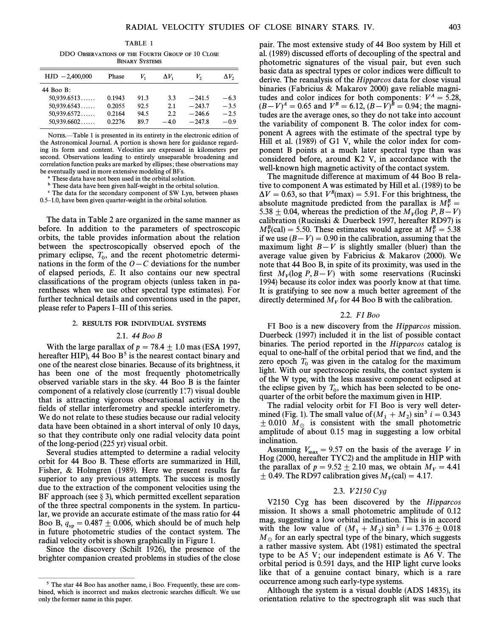TABLE 1

DDO OBSERVATIONS OF THE FOURTH GROUP OF 10 CLOSE BINARY SYSTEMS

| $HJD -2,400,000$ | Phase  | V,   | $\Delta V$ | V,       | $\Delta V_2$ |
|------------------|--------|------|------------|----------|--------------|
| 44 Boo B:        |        |      |            |          |              |
| 50,939.6513      | 0.1943 | 91.3 | 3.3        | $-241.5$ | $-6.3$       |
| 50,939.6543      | 0.2055 | 92.5 | 2.1        | $-243.7$ | $-3.5$       |
| 50,939.6572      | 0.2164 | 94.5 | 2.2        | $-246.6$ | $-2.5$       |
| 50,939.6602      | 0.2276 | 89.7 | $-4.0$     | $-247.8$ | $-0.9$       |
|                  |        |      |            |          |              |

NOTES.—Table 1 is presented in its entirety in the electronic edition of the Astronomical Journal. A portion is shown here for guidance regarding its form and content. Velocities are expressed in kilometers per second. Observations leading to entirely unseparable broadening and correlation function peaks are marked by ellipses; these observations may be eventually used in more extensive modeling of BFs.

These data have not been used in the orbital solution.

b These data have been given half-weight in the orbital solution.

<sup>c</sup> The data for the secondary component of SW Lyn, between phases  $0.5-1.0$ , have been given quarter-weight in the orbital solution.

The data in Table 2 are organized in the same manner as before. In addition to the parameters of spectroscopic orbits, the table provides information about the relation between the spectroscopically observed epoch of the primary eclipse,  $T_0$ , and the recent photometric determi-<br>nations in the farm of the  $Q_0$ ,  $G$  deviations for the number nations in the form of the  $O-C$  deviations for the number of elapsed periods, E. It also contains our new spectral classifications of the program objects (unless taken in parentheses when we use other spectral type estimates). For further technical details and conventions used in the paper, please refer to Papers I-III of this series.

### <sup>2</sup>. RESULTS FOR INDIVIDUAL SYSTEMS

## 2.1. 44 Boo B

With the large parallax of  $p = 78.4 \pm 1.0$  mas (ESA 1997, hereafter HIP), 44 Boo  $B<sup>5</sup>$  is the nearest contact binary and one of the nearest close binaries. Because of its brightness, it has been one of the most frequently photometrically observed variable stars in the sky. 44 Boo B is the fainter component of a relatively close (currently  $1\rlap.{''}7$ ) visual double that is attracting vigorous observational activity in the fields of stellar interferometry and speckle interferometry. We do not relate to these studies because our radial velocity data have been obtained in a short interval of only 10 days, so that they contribute only one radial velocity data point of the long-period (225 yr) visual orbit.

Several studies attempted to determine a radial velocity orbit for 44 Boo B. These efforts are summarized in Hill, Fisher, & Holmgren (1989). Here we present results far superior to any previous attempts. The success is mostly due to the extraction of the component velocities using the BF approach (see  $\S$  3), which permitted excellent separation of the three spectral components in the system. In particular, we provide an accurate estimate of the mass ratio for 44 Boo B,  $q_{sp} = 0.487 \pm 0.006$ , which should be of much help in future photometric studies of the contact system. The radial velocity orbit is shown graphically in Figure 1.

Since the discovery (Schilt 1926), the presence of the brighter companion created problems in studies of the close

ÈÈÈÈÈÈÈÈÈÈÈÈÈÈÈ

pair. The most extensive study of 44 Boo system by Hill et al. (1989) discussed efforts of decoupling of the spectral and photometric signatures of the visual pair, but even such basic data as spectral types or color indices were difficult to derive. The reanalysis of the Hipparcos data for close visual binaries (Fabricius & Makarov 2000) gave reliable magnitudes and color indices for both components:  $V^A = 5.28$ ,  $(B-V)^A = 0.65$  and  $V^B = 6.12, (B-V)^{\hat{B}} = 0.94$ ; the magnitudes are the average ones, so they do not take into account the variability of component B. The color index for component A agrees with the estimate of the spectral type by Hill et al. (1989) of G1 V, while the color index for component B points at a much later spectral type than was considered before, around K2 V, in accordance with the well-known high magnetic activity of the contact system.

The magnitude difference at maximum of 44 Boo B relative to component A was estimated by Hill et al. (1989) to be  $\Delta V = 0.63$ , so that  $V^B$ (max) = 5.91. For this brightness, the absolute magnitude predicted from the parallax is  $M_V^B = 5.38 \pm 0.044$ 5.38  $\pm$  0.04, whereas the prediction of the  $M_V$ (log P, B-V) calibration (Rucinski & Duerbeck 1997, hereafter RD97) is  $M_V^B$ (cal) = 5.50. These estimates would agree at  $M_V^B = 5.38$ if we use  $(B-V) = 0.90$  in the calibration, assuming that the maximum light  $B-V$  is slightly smaller (bluer) than the average value given by Fabricius & Makarov (2000). We note that 44 Boo B, in spite of its proximity, was used in the first  $M_V$ (log P, B – V) with some reservations (Rucinski 1994) because its color index was poorly know at that time. It is gratifying to see now a much better agreement of the directly determined  $M_V$  for 44 Boo B with the calibration.

### 2.2. FI Boo

FI Boo is a new discovery from the Hipparcos mission. Duerbeck (1997) included it in the list of possible contact binaries. The period reported in the Hipparcos catalog is equal to one-half of the orbital period that we find, and the zero epoch  $T_0$  was given in the catalog for the maximum light. With our spectroscopic results, the contact system is of the W type, with the less massive component eclipsed at the eclipse given by  $T_0$ , which has been selected to be one-<br>suggested the orbit has no the maximum since in  $JID$ quarter of the orbit before the maximum given in HIP.

The radial velocity orbit for FI Boo is very well determined (Fig. 1). The small value of  $(M_1 + M_2) \sin^3 i = 0.343$  $\pm$  0.010 M<sub>o</sub> is consistent with the small photometric amplitude of about 0.15 mag in suggesting a low orbital inclination.

Assuming  $V_{\text{max}} = 9.57$  on the basis of the average V in Hog (2000, hereafter TYC2) and the amplitude in HIP with the parallax of  $p = 9.52 \pm 2.10$  mas, we obtain  $M_V = 4.41$  $\pm$  0.49. The RD97 calibration gives  $M_V$ (cal) = 4.17.

### 2.3. *V*2150 Cyg

V2150 Cyg has been discovered by the Hipparcos mission. It shows a small photometric amplitude of 0.12 mag, suggesting a low orbital inclination. This is in accord with the low value of  $(M_1 + M_2) \sin^3 i = 1.376 \pm 0.018$ <br>M<sub>2</sub> for an early spectral time of the hinemy which successful  $M_{\odot}$  for an early spectral type of the binary, which suggests a rather massive system. Abt (1981) estimated the spectral type to be A5 V; our independent estimate is A6 V. The orbital period is 0.591 days, and the HIP light curve looks like that of a genuine contact binary, which is a rare occurrence among such early-type systems.

Although the system is a visual double (ADS 14835), its orientation relative to the spectrograph slit was such that

<sup>5</sup> The star 44 Boo has another name, i Boo. Frequently, these are combined, which is incorrect and makes electronic searches difficult. We use only the former name in this paper.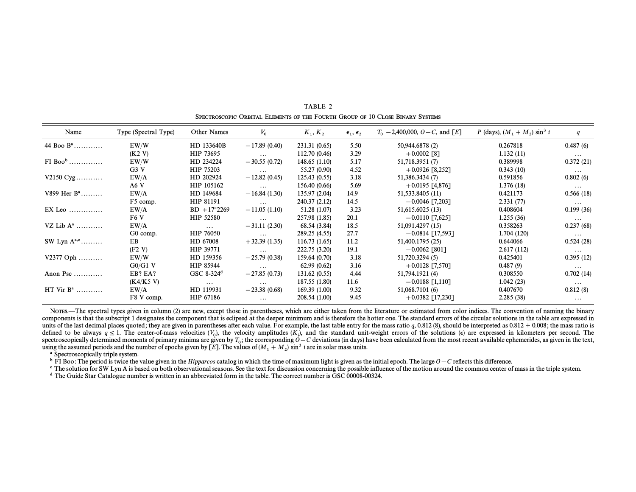| Name                  | Type (Spectral Type) | Other Names              | $V_0$          | $K_1, K_2$    | $\epsilon_1, \epsilon_2$ | $T_0$ – 2,400,000, O – C, and [E] | P (days), $(M_1 + M_2) \sin^3 i$ | q         |
|-----------------------|----------------------|--------------------------|----------------|---------------|--------------------------|-----------------------------------|----------------------------------|-----------|
| 44 Boo $B^a$          | EW/W                 | HD 133640B               | $-17.89(0.40)$ | 231.31 (0.65) | 5.50                     | 50,944.6878 (2)                   | 0.267818                         | 0.487(6)  |
|                       | (K2 V)               | HIP 73695                | $\cdots$       | 112.70 (0.46) | 3.29                     | $+0.0002$ [8]                     | 1.132(11)                        | $\cdots$  |
| $FI$ Boo <sup>b</sup> | EW/W                 | HD 234224                | $-30.55(0.72)$ | 148.65(1.10)  | 5.17                     | 51,718.3951 (7)                   | 0.389998                         | 0.372(21) |
|                       | G3V                  | HIP 75203                | $\cdots$       | 55.27 (0.90)  | 4.52                     | $+0.0926$ [8,252]                 | 0.343(10)                        | $\cdots$  |
| $V2150 Cyg$           | EW/A                 | HD 202924                | $-12.82(0.45)$ | 125.43(0.55)  | 3.18                     | 51,386.3434(7)                    | 0.591856                         | 0.802(6)  |
|                       | A6V                  | HIP 105162               | $\cdots$       | 156.40 (0.66) | 5.69                     | $+0.0195$ [4,876]                 | 1.376(18)                        | $\cdots$  |
| $V899$ Her $B^a$      | EW/A                 | HD 149684                | $-16.84(1.30)$ | 135.97 (2.04) | 14.9                     | 51,533.8405 (11)                  | 0.421173                         | 0.566(18) |
|                       | F <sub>5</sub> comp. | HIP 81191                | $\cdots$       | 240.37 (2.12) | 14.5                     | $-0.0046$ [7,203]                 | 2.331(77)                        | $\cdots$  |
| $EX$ Leo              | EW/A                 | $BD + 17^{\circ}2269$    | $-11.05(1.10)$ | 51.28 (1.07)  | 3.23                     | 51,615.6025 (13)                  | 0.408604                         | 0.199(36) |
|                       | F <sub>6</sub> V     | HIP 52580                | $\cdots$       | 257.98 (1.85) | 20.1                     | $-0.0110$ [7,625]                 | 1.255(36)                        | $\cdots$  |
| VZ Lib $A^a$          | EW/A                 | $\cdots$                 | $-31.11(2.30)$ | 68.54 (3.84)  | 18.5                     | 51,091.4297 (15)                  | 0.358263                         | 0.237(68) |
|                       | G0 comp.             | <b>HIP 76050</b>         | $\cdots$       | 289.25 (4.55) | 27.7                     | $-0.0814$ [17,593]                | 1.704(120)                       | $\cdots$  |
| SW Lyn $A^{a,c}$      | EB                   | HD 67008                 | $+32.39(1.35)$ | 116.73(1.65)  | 11.2                     | 51,400.1795 (25)                  | 0.644066                         | 0.524(28) |
|                       | (F2 V)               | HIP 39771                | $\cdots$       | 222.75 (3.20) | 19.1                     | $-0.0062$ [801]                   | 2.617(112)                       | $\cdots$  |
| $V2377$ Oph           | EW/W                 | HD 159356                | $-25.79(0.38)$ | 159.64 (0.70) | 3.18                     | 51,720.3294 (5)                   | 0.425401                         | 0.395(12) |
|                       | $G0/G1$ V            | HIP 85944                | $\cdots$       | 62.99(0.62)   | 3.16                     | $+0.0128$ [7,570]                 | 0.487(9)                         | $\cdots$  |
| Anon Psc              | EB? EA?              | GSC $8-324$ <sup>d</sup> | $-27.85(0.73)$ | 131.62(0.55)  | 4.44                     | 51,794.1921 (4)                   | 0.308550                         | 0.702(14) |
|                       | (K4/K5 V)            | $\cdots$                 | $\cdots$       | 187.55 (1.80) | 11.6                     | $-0.0188$ [1,110]                 | 1.042(23)                        | $\cdots$  |
| HT Vir $B^a$          | EW/A                 | HD 119931                | $-23.38(0.68)$ | 169.39(1.00)  | 9.32                     | 51,068.7101 (6)                   | 0.407670                         | 0.812(8)  |
|                       | F8 V comp.           | HIP 67186                | $\cdots$       | 208.54 (1.00) | 9.45                     | $+0.0382$ [17,230]                | 2.285(38)                        | $\cdots$  |

TABLE 2 SPECTROSCOPIC ORBITAL ELEMENTS OF THE FOURTH GROUP OF 10 CLOSE BINARY SYSTEMS

Notes.—The spectral types given in column (2) are new, except those in parentheses, which are either taken from the literature or estimated from color indices. The convention of naming the binary components is that the subscript 1 designates the component that is eclipsed at the deeper minimum and is therefore the hotter one. The standard errors of the circular solutions in the table are expressed in units of the last decimal places quoted; they are given in parentheses after each value. For example, the last table entry for the mass ratio q, 0.812 (8), should be interpreted as 0.812  $\pm$  0.008; the mass ratio is defined to be always  $q \le 1$ . The center-of-mass velocities (V<sub>0</sub>), the velocity amplitudes (K<sub>i</sub>), and the standard unit-weight errors of the solutions (e) are expressed in kilometers per second. The spectroscopically determined moments of primary minima are given by  $T_0$ ; the corresponding  $O-C$  deviations (in days) have been calculated from the most recent available ephemerides, as given in the text, spectroscopically determined moments of primary minima are given by  $T_0$ ; the corresponding  $O-C$  deviations (in days) i<br>using the assumed periods and the number of epochs given by [E]. The values of ( $M_1 + M_2$ ) sin<sup>3</sup> i

a Spectroscopically triple system.

<sup>b</sup> FI Boo: The period is twice the value given in the Hipparcos catalog in which the time of maximum light is given as the initial epoch. The large  $O-C$  reflects this difference.

<sup>c</sup> The solution for SW Lyn A is based on both observational seasons. See the text for discussion concerning the possible influence of the motion around the common center of mass in the triple system. <sup>d</sup> The Guide Star Catalogue number is written in an abbreviated form in the table. The correct number is GSC 00008-00324.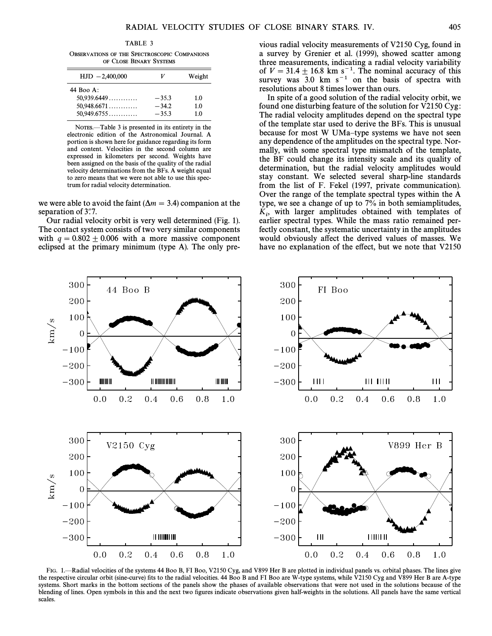TABLE 3

OBSERVATIONS OF THE SPECTROSCOPIC COMPANIONS OF CLOSE BINARY SYSTEMS

| $HJD - 2,400,000$ | V       | Weight |
|-------------------|---------|--------|
| 44 Boo A:         |         |        |
| 50.939.6449       | $-35.3$ | 1.0    |
| $50.948.6671$     | $-34.2$ | 1.0    |
| 50.949.6755       | $-35.3$ | 1.0    |

NOTES.—Table 3 is presented in its entirety in the electronic edition of the Astronomical Journal. A portion is shown here for guidance regarding its form and content. Velocities in the second column are expressed in kilometers per second. Weights have been assigned on the basis of the quality of the radial velocity determinations from the BFs. A weight equal to zero means that we were not able to use this spectrum for radial velocity determination.

we were able to avoid the faint ( $\Delta m = 3.4$ ) companion at the separation of 3".7.

Our radial velocity orbit is very well determined (Fig. 1). The contact system consists of two very similar components with  $q = 0.802 \pm 0.006$  with a more massive component eclipsed at the primary minimum (type A). The only previous radial velocity measurements of V2150 Cyg, found in a survey by Grenier et al. (1999), showed scatter among three measurements, indicating a radial velocity variability of  $V = 31.4 \pm 16.8$  km s<sup>-1</sup>. The nominal accuracy of this survey was 3.0 km  $s^{-1}$  on the basis of spectra with resolutions about 8 times lower than ours.

In spite of a good solution of the radial velocity orbit, we found one disturbing feature of the solution for V2150 Cyg: The radial velocity amplitudes depend on the spectral type of the template star used to derive the BFs. This is unusual because for most W UMa-type systems we have not seen any dependence of the amplitudes on the spectral type. Normally, with some spectral type mismatch of the template, the BF could change its intensity scale and its quality of determination, but the radial velocity amplitudes would stay constant. We selected several sharp-line standards from the list of F. Fekel (1997, private communication). Over the range of the template spectral types within the A type, we see a change of up to 7% in both semiamplitudes,  $K_i$ , with larger amplitudes obtained with templates of earlier spectral types. While the mass ratio remained perfectly constant, the systematic uncertainty in the amplitudes would obviously affect the derived values of masses. We have no explanation of the effect, but we note that V2150



FIG. 1.—Radial velocities of the systems 44 Boo B, FI Boo, V2150 Cyg, and V899 Her B are plotted in individual panels vs. orbital phases. The lines give the respective circular orbit (sine-curve) fits to the radial velocities. 44 Boo B and FI Boo are W-type systems, while V2150 Cyg and V899 Her B are A-type systems. Short marks in the bottom sections of the panels show the phases of available observations that were not used in the solutions because of the blending of lines. Open symbols in this and the next two figures indicate observations given half-weights in the solutions. All panels have the same vertical scales.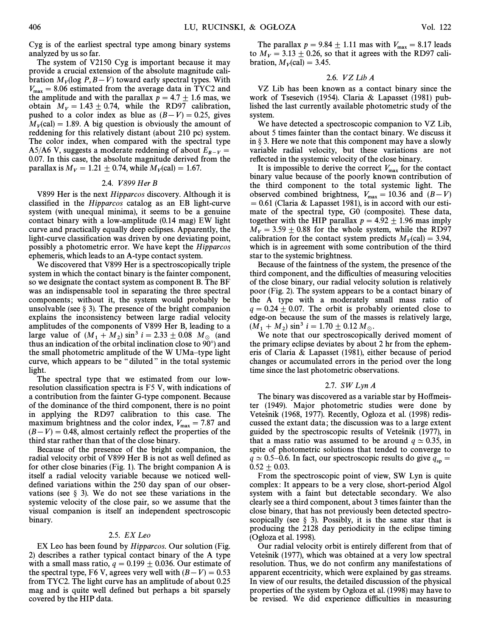Cyg is of the earliest spectral type among binary systems analyzed by us so far.

The system of V2150 Cyg is important because it may provide a crucial extension of the absolute magnitude calibration  $M_V$ (log  $P, B - V$ ) toward early spectral types. With  $V_{\text{max}} = 8.06$  estimated from the average data in TYC2 and the amplitude and with the parallax  $p = 4.7 \pm 1.6$  mas, we obtain  $M_V = 1.43 \pm 0.74$ , while the RD97 calibration, pushed to a color index as blue as  $(B-V) = 0.25$ , gives  $M_V$ (cal) = 1.89. A big question is obviously the amount of reddening for this relatively distant (about 210 pc) system. The color index, when compared with the spectral type A5/A6 V, suggests a moderate reddening of about  $E_{B-V}$  = 0.07. In this case, the absolute magnitude derived from the parallax is  $M_V = 1.21 \pm 0.74$ , while  $M_V$ (cal) = 1.67.

### 2.4. V 899 Her B

V899 Her is the next Hipparcos discovery. Although it is classified in the *Hipparcos* catalog as an EB light-curve system (with unequal minima), it seems to be a genuine contact binary with a low-amplitude (0.14 mag) EW light curve and practically equally deep eclipses. Apparently, the light-curve classification was driven by one deviating point, possibly a photometric error. We have kept the Hipparcos ephemeris, which leads to an A-type contact system.

We discovered that V899 Her is a spectroscopically triple system in which the contact binary is the fainter component, so we designate the contact system as component B. The BF was an indispensable tool in separating the three spectral components; without it, the system would probably be unsolvable (see  $\S$  3). The presence of the bright companion explains the inconsistency between large radial velocity amplitudes of the components of V899 Her B, leading to a large value of  $(M_1 + M_2) \sin^3 i = 2.33 \pm 0.08 M_\odot$  (and thus an indication of the orbital inclination algoed to 00%) and thus an indication of the orbital inclination close to  $90^{\circ}$ ) and the small photometric amplitude of the W UMa-type light curve, which appears to be "diluted" in the total systemic light.

The spectral type that we estimated from our lowresolution classification spectra is  $F5$  V, with indications of a contribution from the fainter G-type component. Because of the dominance of the third component, there is no point in applying the RD97 calibration to this case. The maximum brightness and the color index,  $V_{\text{max}} = 7.87$  and  $(B-V) = 0.48$ , almost certainly reflect the properties of the third star rather than that of the close binary.

Because of the presence of the bright companion, the radial velocity orbit of V899 Her B is not as well defined as for other close binaries (Fig. 1). The bright companion A is itself a radial velocity variable because we noticed welldefined variations within the 250 day span of our observations (see  $\S$  3). We do not see these variations in the systemic velocity of the close pair, so we assume that the visual companion is itself an independent spectroscopic binary.

#### $2.5.$  EX Leo

EX Leo has been found by Hipparcos. Our solution (Fig. 2) describes a rather typical contact binary of the A type with a small mass ratio,  $q = 0.199 \pm 0.036$ . Our estimate of the spectral type, F6 V, agrees very well with  $(B-V) = 0.53$ from TYC2. The light curve has an amplitude of about 0.25 mag and is quite well defined but perhaps a bit sparsely covered by the HIP data.

## 2.6. VZLib A

VZ Lib has been known as a contact binary since the work of Tsesevich (1954). Claria & Lapasset (1981) published the last currently available photometric study of the system.

We have detected a spectroscopic companion to VZ Lib, about 5 times fainter than the contact binary. We discuss it in  $\S 3$ . Here we note that this component may have a slowly variable radial velocity, but these variations are not reflected in the systemic velocity of the close binary.

It is impossible to derive the correct  $V_{\text{max}}$  for the contact binary value because of the poorly known contribution of the third component to the total systemic light. The observed combined brightness,  $V_{\text{max}} = 10.36$  and  $(B-V)$  $\alpha = 0.61$  (Claria & Lapasset 1981), is in accord with our estimate of the spectral type, G0 (composite). These data, together with the HIP parallax  $p = 4.92 \pm 1.96$  mas imply  $M_V = 3.59 \pm 0.88$  for the whole system, while the RD97 calibration for the contact system predicts  $M_V$ (cal) = 3.94, which is in agreement with some contribution of the third star to the systemic brightness.

Because of the faintness of the system, the presence of the third component, and the difficulties of measuring velocities of the close binary, our radial velocity solution is relatively poor (Fig. 2). The system appears to be a contact binary of the A type with a moderately small mass ratio of  $q = 0.24 \pm 0.07$ . The orbit is probably oriented close to edge-on because the sum of the masses is relatively large,  $(M_1 + M_2) \sin^3 i = 1.70 \pm 0.12 M_{\odot}$ .

We note that our spectroscopically derived moment of the primary eclipse deviates by about 2 hr from the ephemeris of Claria & Lapasset (1981), either because of period changes or accumulated errors in the period over the long time since the last photometric observations.

### 2.7.  $SW LvnA$

The binary was discovered as a variable star by Hoffmeister (1949). Major photometric studies were done by Vetešnik (1968, 1977). Recently, Ogłoza et al. (1998) rediscussed the extant data; the discussion was to a large extent guided by the spectroscopic results of Vetešnik (1977), in that a mass ratio was assumed to be around  $q \approx 0.35$ , in spite of photometric solutions that tended to converge to  $q \simeq 0.5\text{--}0.6$ . In fact, our spectroscopic results do give  $q_{sp} = 0.53 \pm 0.03$  $0.52 + 0.03$ .

From the spectroscopic point of view, SW Lyn is quite complex: It appears to be a very close, short-period Algol system with a faint but detectable secondary. We also clearly see a third component, about 3 times fainter than the close binary, that has not previously been detected spectroscopically (see  $\S$  3). Possibly, it is the same star that is producing the 2128 day periodicity in the eclipse timing  $(O$ głoza et al. 1998).

Our radial velocity orbit is entirely different from that of Vetešnik (1977), which was obtained at a very low spectral resolution. Thus, we do not confirm any manifestations of apparent eccentricity, which were explained by gas streams. In view of our results, the detailed discussion of the physical properties of the system by Ogłoza et al. (1998) may have to be revised. We did experience difficulties in measuring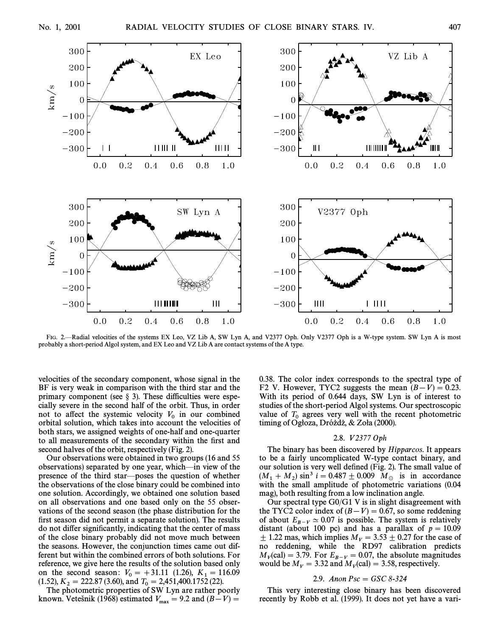

FIG. 2—Radial velocities of the systems EX Leo, VZ Lib A, SW Lyn A, and V2377 Oph. Only V2377 Oph is a W-type system. SW Lyn A is most probably a short-period Algol system, and EX Leo and VZ Lib A are contact systems of the A type.

velocities of the secondary component, whose signal in the BF is very weak in comparison with the third star and the primary component (see  $\S$  3). These difficulties were especially severe in the second half of the orbit. Thus, in order not to affect the systemic velocity  $V_0$  in our combined orbital solution, which takes into account the velocities of both stars, we assigned weights of one-half and one-quarter to all measurements of the secondary within the first and second halves of the orbit, respectively (Fig. 2).

Our observations were obtained in two groups (16 and 55 observations) separated by one year, which—in view of the presence of the third star—poses the question of whether the observations of the close binary could be combined into one solution. Accordingly, we obtained one solution based on all observations and one based only on the 55 observations of the second season (the phase distribution for the first season did not permit a separate solution). The results do not differ significantly, indicating that the center of mass of the close binary probably did not move much between the seasons. However, the conjunction times came out different but within the combined errors of both solutions. For reference, we give here the results of the solution based only on the second season:  $V_0 = +31.11$  (1.26),  $K_1 = 116.09$ <br>(1.52),  $V_0 = 222.87$  (2.60), and  $T_0 = 2.451,400,1752$  (22) (1.52),  $K_2 = 222.87$  (3.60), and  $T_0 = 2,451,400.1752$  (22).<br>The photometric proportion of SWJ I we are rather as

 $0.52$ ,  $K_2 = 222.67$  (5.00), and  $T_0 = 2.451,400.1752$  (22).<br>The photometric properties of SW Lyn are rather poorly known. Vetešnik (1968) estimated  $V_{\text{max}} = 9.2$  and  $(B-V) =$ 

0.38. The color index corresponds to the spectral type of F2 V. However, TYC2 suggests the mean  $(B-V) = 0.23$ . With its period of 0.644 days, SW Lyn is of interest to studies of the short-period Algol systems. Our spectroscopic value of  $T_0$  agrees very well with the recent photometric timing of Ogłoza, Dróżdż, & Zoła (2000).

## 2.8. V 2377 Oph

The binary has been discovered by Hipparcos. It appears to be a fairly uncomplicated W-type contact binary, and our solution is very well defined (Fig. 2). The small value of  $(M_1 + M_2) \sin^3 i = 0.487 \pm 0.009$   $M_\odot$  is in accordance with the small amplitude of photometric variations (0.04 mag), both resulting from a low inclination angle.

Our spectral type G0/G1 V is in slight disagreement with the TYC2 color index of  $(B-V) = 0.67$ , so some reddening of about  $E_{B-V} \simeq 0.07$  is possible. The system is relatively distant (about 100 pc) and has a parallax of  $p = 10.09$  $\pm$  1.22 mas, which implies  $M_V = 3.53 \pm 0.27$  for the case of no reddening, while the RD97 calibration predicts  $M_V$ (cal) = 3.79. For  $E_{B-V} = 0.07$ , the absolute magnitudes<br>would be  $M = 3.22$  and  $M_V$  (cal) = 3.59 geographically would be  $M_V = 3.32$  and  $M_V$ (cal) = 3.58, respectively.

### 2.9. Anon  $Psc = GSC 8-324$

This very interesting close binary has been discovered recently by Robb et al. (1999). It does not yet have a vari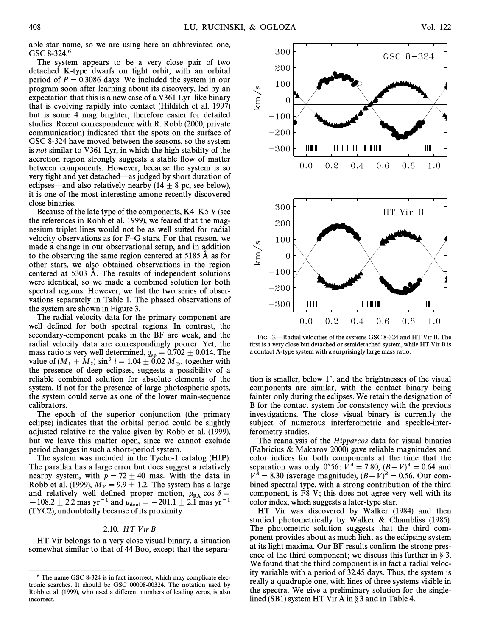able star name, so we are using here an abbreviated one, GSC 8-324.<sup>6</sup>

The system appears to be a very close pair of two detached K-type dwarfs on tight orbit, with an orbital period of  $P = 0.3086$  days. We included the system in our program soon after learning about its discovery, led by an expectation that this is a new case of a V361 Lyr-like binary that is evolving rapidly into contact (Hilditch et al. 1997) but is some 4 mag brighter, therefore easier for detailed studies. Recent correspondence with R. Robb (2000, private communication) indicated that the spots on the surface of GSC 8-324 have moved between the seasons, so the system is not similar to V361 Lyr, in which the high stability of the accretion region strongly suggests a stable flow of matter between components. However, because the system is so very tight and yet detached—as judged by short duration of eclipses—and also relatively nearby (14  $\pm$  8 pc, see below), it is one of the most interesting among recently discovered close binaries.

Because of the late type of the components,  $K4-K5$  V (see the references in Robb et al. 1999), we feared that the magnesium triplet lines would not be as well suited for radial velocity observations as for  $F-G$  stars. For that reason, we made a change in our observational setup, and in addition to the observing the same region centered at 5185 A as for other stars, we also obtained observations in the region centered at 5303 A. The results of independent solutions were identical, so we made a combined solution for both spectral regions. However, we list the two series of observations separately in Table 1. The phased observations of the system are shown in Figure 3.

The radial velocity data for the primary component are well defined for both spectral regions. In contrast, the secondary-component peaks in the BF are weak, and the radial velocity data are correspondingly poorer. Yet, the mass ratio is very well determined,  $q_{sp} = 0.702 \pm 0.014$ . The value of  $(M_1 + M_2) \sin^3 i = 1.04 \pm 0.02 M_\odot$ , together with the presence of deep estimate supports a possibility of a the presence of deep eclipses, suggests a possibility of a reliable combined solution for absolute elements of the system. If not for the presence of large photospheric spots, the system could serve as one of the lower main-sequence calibrators.

The epoch of the superior conjunction (the primary eclipse) indicates that the orbital period could be slightly adjusted relative to the value given by Robb et al. (1999), but we leave this matter open, since we cannot exclude period changes in such a short-period system.

The system was included in the Tycho-1 catalog (HIP). The parallax has a large error but does suggest a relatively nearby system, with  $p = 72 \pm 40$  mas. With the data in Robb et al. (1999),  $M_V = 9.9 \pm 1.2$ . The system has a large and relatively well defined proper motion,  $\mu_{\text{RA}} \cos \delta =$ <br>108.2 + 2.2 measur=1 and u  $(-108.2 \pm 2.2 \text{ mas yr}^{-1} \text{ and } \mu_{\text{deel}} = -201.1 \pm 2.1 \text{ mas yr}^{-1}$ (TYC2), undoubtedly because of its proximity.

# $2.10.$  HT Vir B

HT Vir belongs to a very close visual binary, a situation somewhat similar to that of 44 Boo, except that the separa-

ÈÈÈÈÈÈÈÈÈÈÈÈÈÈÈ



FIG. 3.—Radial velocities of the systems GSC 8-324 and HT Vir B. The first is a very close but detached or semidetached system, while HT Vir B is a contact A-type system with a surprisingly large mass ratio.

tion is smaller, below  $1$ ", and the brightnesses of the visual components are similar, with the contact binary being fainter only during the eclipses. We retain the designation of B for the contact system for consistency with the previous investigations. The close visual binary is currently the subject of numerous interferometric and speckle-interferometry studies.

The reanalysis of the Hipparcos data for visual binaries (Fabricius & Makarov 2000) gave reliable magnitudes and color indices for both components at the time that the separation was only 0.56:  $V^A = 7.80$ ,  $(B-V)^A = 0.64$  and  $V^{\overline{B}} = 8.30$  (average magnitude),  $(B-V)^B = 0.56$ . Our combined spectral type, with a strong contribution of the third component, is F8 V; this does not agree very well with its color index, which suggests a later-type star.

HT Vir was discovered by Walker (1984) and then studied photometrically by Walker & Chambliss (1985). The photometric solution suggests that the third component provides about as much light as the eclipsing system at its light maxima. Our BF results confirm the strong presence of the third component; we discuss this further in  $\S$  3. We found that the third component is in fact a radial velocity variable with a period of 32.45 days. Thus, the system is really a quadruple one, with lines of three systems visible in the spectra. We give a preliminary solution for the singlelined (SB1) system HT Vir A in  $\S$  3 and in Table 4.

<sup>6</sup> The name GSC 8-324 is in fact incorrect, which may complicate electronic searches. It should be GSC 00008-00324. The notation used by Robb et al. (1999), who used a different numbers of leading zeros, is also incorrect.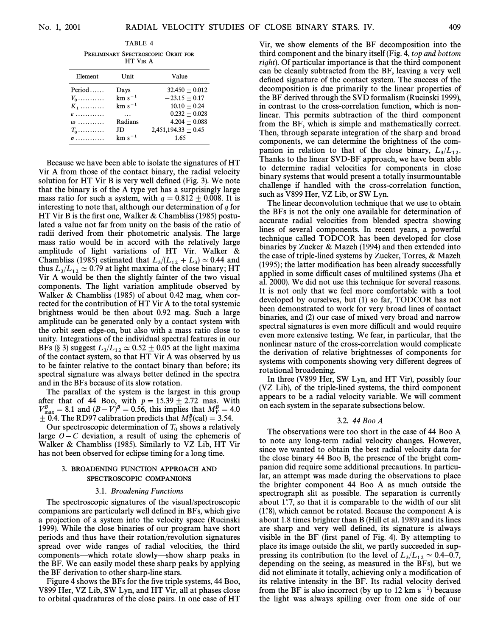TABLE 4

PRELIMINARY SPECTROSCOPIC ORBIT FOR HT VIR A

| Element        | Unit        | Value                 |
|----------------|-------------|-----------------------|
| $Period \dots$ | Days        | $32.450 + 0.012$      |
| $V_0$          | $km s^{-1}$ | $-23.15 + 0.17$       |
| $K_1$          | $km s^{-1}$ | $10.10 + 0.24$        |
| $e$            |             | $0.232 + 0.028$       |
| $\omega$       | Radians     | $4.204 + 0.088$       |
| $T_0$          | JD          | $2,451,194.33 + 0.45$ |
| $\sigma$       | $km s^{-1}$ | 1.65                  |

Because we have been able to isolate the signatures of HT Vir A from those of the contact binary, the radial velocity solution for HT Vir B is very well defined (Fig. 3). We note that the binary is of the A type yet has a surprisingly large mass ratio for such a system, with  $q = 0.812 \pm 0.008$ . It is interesting to note that, although our determination of  $q$  for HT Vir B is the first one, Walker & Chambliss (1985) postulated a value not far from unity on the basis of the ratio of radii derived from their photometric analysis. The large mass ratio would be in accord with the relatively large amplitude of light variations of HT Vir. Walker & Chambliss (1985) estimated that  $L_3/(L_{12} + L_3) \simeq 0.44$  and  $L_3/(L_{12} + L_3)$ thus  $L_3/L_{12} \simeq 0.79$  at light maxima of the close binary; HT Vir A would be then the slightly fainter of the two visual components. The light variation amplitude observed by Walker & Chambliss (1985) of about 0.42 mag, when corrected for the contribution of HT Vir A to the total systemic brightness would be then about 0.92 mag. Such a large amplitude can be generated only by a contact system with the orbit seen edge-on, but also with a mass ratio close to unity. Integrations of the individual spectral features in our BFs (§ 3) suggest  $L_3/L_{12} \approx 0.52 \pm 0.05$  at the light maxima of the contact system, so that HT Vir A was observed by us to be fainter relative to the contact binary than before ; its spectral signature was always better defined in the spectra and in the BFs because of its slow rotation.

The parallax of the system is the largest in this group after that of 44 Boo, with  $p = 15.39 \pm 2.72$  mas. With  $V_{\text{max}}^B = 8.1$  and  $(B - V)^B = 0.56$ , this implies that  $M_V^B = 4.0$  $\pm$  0.4. The RD97 calibration predicts that  $M_V^B$ (cal) = 3.54.

Our spectroscopic determination of  $T_0$  shows a relatively large  $O - C$  deviation, a result of using the ephemeris of Walker & Chambliss (1985). Similarly to VZ Lib, HT Vir has not been observed for eclipse timing for a long time.

## <sup>3</sup>. BROADENING FUNCTION APPROACH AND SPECTROSCOPIC COMPANIONS

## 3.1. Broadening Functions

The spectroscopic signatures of the visual/spectroscopic companions are particularly well defined in BFs, which give a projection of a system into the velocity space (Rucinski 1999). While the close binaries of our program have short periods and thus have their rotation/revolution signatures spread over wide ranges of radial velocities, the third components—which rotate slowly—show sharp peaks in the BF. We can easily model these sharp peaks by applying the BF derivation to other sharp-line stars.

Figure 4 shows the BFs for the five triple systems, 44 Boo, V899 Her, VZ Lib, SW Lyn, and HT Vir, all at phases close to orbital quadratures of the close pairs. In one case of HT Vir, we show elements of the BF decomposition into the third component and the binary itself (Fig. 4, top and bottom right). Of particular importance is that the third component can be cleanly subtracted from the BF, leaving a very well defined signature of the contact system. The success of the decomposition is due primarily to the linear properties of the BF derived through the SVD formalism (Rucinski 1999), in contrast to the cross-correlation function, which is nonlinear. This permits subtraction of the third component from the BF, which is simple and mathematically correct. Then, through separate integration of the sharp and broad components, we can determine the brightness of the companion in relation to that of the close binary,  $L_3/L_{12}$ .<br>Therefore the linear SVD BE engages here here here allow Thanks to the linear SVD-BF approach, we have been able to determine radial velocities for components in close binary systems that would present a totally insurmountable challenge if handled with the cross-correlation function, such as V899 Her, VZ Lib, or SW Lyn.

The linear deconvolution technique that we use to obtain the BFs is not the only one available for determination of accurate radial velocities from blended spectra showing lines of several components. In recent years, a powerful technique called TODCOR has been developed for close binaries by Zucker & Mazeh (1994) and then extended into the case of triple-lined systems by Zucker, Torres, & Mazeh  $(1995)$ ; the latter modification has been already successfully applied in some difficult cases of multilined systems (Jha et al. 2000). We did not use this technique for several reasons. It is not only that we feel more comfortable with a tool developed by ourselves, but (1) so far, TODCOR has not been demonstrated to work for very broad lines of contact binaries, and (2) our case of mixed very broad and narrow spectral signatures is even more difficult and would require even more extensive testing. We fear, in particular, that the nonlinear nature of the cross-correlation would complicate the derivation of relative brightnesses of components for systems with components showing very different degrees of rotational broadening.

In three (V899 Her, SW Lyn, and HT Vir), possibly four (VZ Lib), of the triple-lined systems, the third component appears to be a radial velocity variable. We will comment on each system in the separate subsections below.

### 3.2. 44 Boo A

The observations were too short in the case of 44 Boo A to note any long-term radial velocity changes. However, since we wanted to obtain the best radial velocity data for the close binary 44 Boo B, the presence of the bright companion did require some additional precautions. In particular, an attempt was made during the observations to place the brighter component 44 Boo A as much outside the spectrograph slit as possible. The separation is currently about 1.7, so that it is comparable to the width of our slit  $(1.8)$ , which cannot be rotated. Because the component A is about 1.8 times brighter than B (Hill et al. 1989) and its lines are sharp and very well defined, its signature is always visible in the BF (first panel of Fig. 4). By attempting to place its image outside the slit, we partly succeeded in suppressing its contribution (to the level of  $L_3/L_{12} \simeq 0.4-0.7$ , depending on the seeing, as measured in the BFs), but we did not eliminate it totally, achieving only a modification of its relative intensity in the BF. Its radial velocity derived from the BF is also incorrect (by up to 12 km  $s^{-1}$ ) because the light was always spilling over from one side of our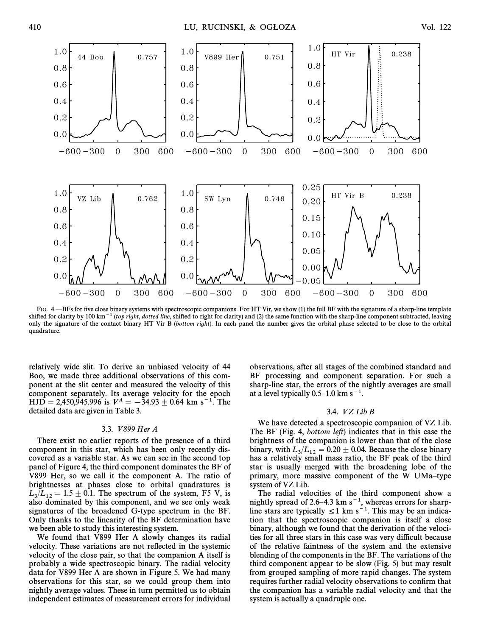

FIG. 4.—BFs for five close binary systems with spectroscopic companions. For HT Vir, we show (1) the full BF with the signature of a sharp-line template shifted for clarity by 100 km<sup>-1</sup> (top right, dotted line, shifted to right for clarity) and (2) the same function with the sharp-line component subtracted, leaving only the signature of the contact binary HT Vir B (bottom right). In each panel the number gives the orbital phase selected to be close to the orbital quadrature.

relatively wide slit. To derive an unbiased velocity of 44 Boo, we made three additional observations of this component at the slit center and measured the velocity of this component separately. Its average velocity for the epoch  $HJD = 2,450,945.996$  is  $V^A = -34.93 \pm 0.64$  km s<sup>-1</sup>. The detailed data are given in Table 3.

# 3.3. V 899 Her A

There exist no earlier reports of the presence of a third component in this star, which has been only recently discovered as a variable star. As we can see in the second top panel of Figure 4, the third component dominates the BF of V899 Her, so we call it the component A. The ratio of brightnesses at phases close to orbital quadratures is  $L_3/L_{12} = 1.5 \pm 0.1$ . The spectrum of the system, F5 V, is also dominated by this component, and we see only weak also dominated by this component, and we see only weak signatures of the broadened G-type spectrum in the BF. Only thanks to the linearity of the BF determination have we been able to study this interesting system.

We found that V899 Her A slowly changes its radial velocity. These variations are not reflected in the systemic velocity of the close pair, so that the companion A itself is probably a wide spectroscopic binary. The radial velocity data for V899 Her A are shown in Figure 5. We had many observations for this star, so we could group them into nightly average values. These in turn permitted us to obtain independent estimates of measurement errors for individual

observations, after all stages of the combined standard and BF processing and component separation. For such a sharp-line star, the errors of the nightly averages are small at a level typically  $0.5-1.0$  km s<sup>-1</sup>.

## 3.4. VZLib B

We have detected a spectroscopic companion of VZ Lib. The BF (Fig. 4, *bottom left*) indicates that in this case the brightness of the companion is lower than that of the close binary, with  $L_3/L_{12} = 0.20 \pm 0.04$ . Because the close binary<br>hes a relatively appell mass ratio, the BE peak of the third has a relatively small mass ratio, the BF peak of the third star is usually merged with the broadening lobe of the primary, more massive component of the W UMa-type system of VZ Lib.

The radial velocities of the third component show a nightly spread of 2.6–4.3 km  $s^{-1}$ , whereas errors for sharpline stars are typically  $\leq 1$  km s<sup>-1</sup>. This may be an indication that the spectroscopic companion is itself a close binary, although we found that the derivation of the velocities for all three stars in this case was very difficult because of the relative faintness of the system and the extensive blending of the components in the BF. The variations of the third component appear to be slow (Fig. 5) but may result from grouped sampling of more rapid changes. The system requires further radial velocity observations to confirm that the companion has a variable radial velocity and that the system is actually a quadruple one.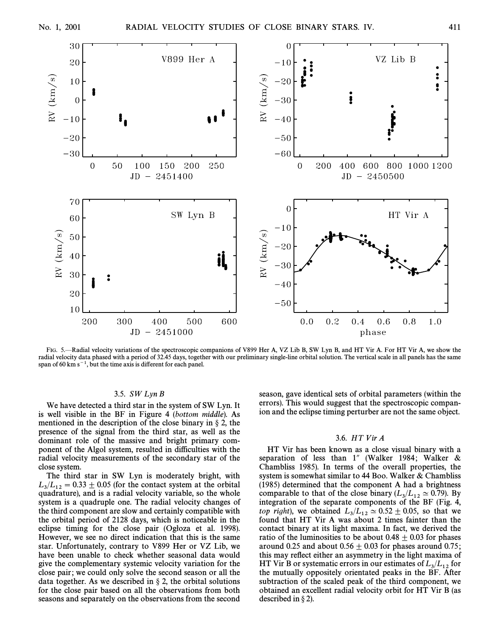

FIG. 5.—Radial velocity variations of the spectroscopic companions of V899 Her A, VZ Lib B, SW Lyn B, and HT Vir A. For HT Vir A, we show the radial velocity data phased with a period of 32.45 days, together with our preliminary single-line orbital solution. The vertical scale in all panels has the same span of 60 km  $s^{-1}$ , but the time axis is different for each panel.

## 3.5.  $SW Lyn B$

We have detected a third star in the system of SW Lyn. It is well visible in the BF in Figure 4 (bottom middle). As mentioned in the description of the close binary in  $\S 2$ , the presence of the signal from the third star, as well as the dominant role of the massive and bright primary component of the Algol system, resulted in difficulties with the radial velocity measurements of the secondary star of the close system.

The third star in SW Lyn is moderately bright, with  $L_3/L_{12} = 0.33 \pm 0.05$  (for the contact system at the orbital<br>system of the angle is a radial velocity variable so the whole quadrature), and is a radial velocity variable, so the whole system is a quadruple one. The radial velocity changes of the third component are slow and certainly compatible with the orbital period of 2128 days, which is noticeable in the eclipse timing for the close pair (Ogłoza et al. 1998). However, we see no direct indication that this is the same star. Unfortunately, contrary to V899 Her or VZ Lib, we have been unable to check whether seasonal data would give the complementary systemic velocity variation for the close pair; we could only solve the second season or all the data together. As we described in  $\S 2$ , the orbital solutions for the close pair based on all the observations from both seasons and separately on the observations from the second

season, gave identical sets of orbital parameters (within the errors). This would suggest that the spectroscopic companion and the eclipse timing perturber are not the same object.

## 3.6. HT Vir A

HT Vir has been known as a close visual binary with a separation of less than  $1''$  (Walker 1984; Walker & Chambliss 1985). In terms of the overall properties, the system is somewhat similar to 44 Boo. Walker & Chambliss (1985) determined that the component A had a brightness comparable to that of the close binary  $(L_3/L_{12} \approx 0.79)$ . By integration of the separate components of the BF (Fig. 4, top right), we obtained  $L_3/L_{12} \approx 0.52 \pm 0.05$ , so that we<br>found that HT Vin A was about 2 times fointer than the found that HT Vir A was about 2 times fainter than the contact binary at its light maxima. In fact, we derived the ratio of the luminosities to be about  $0.48 \pm 0.03$  for phases around 0.25 and about  $0.56 \pm 0.03$  for phases around 0.75; this may reflect either an asymmetry in the light maxima of HT Vir B or systematic errors in our estimates of  $L_3/L_{12}$  for<br>the quotielly appealish aritimated position the BE After the mutually oppositely orientated peaks in the BF. After subtraction of the scaled peak of the third component, we obtained an excellent radial velocity orbit for HT Vir B (as described in  $\S 2$ ).